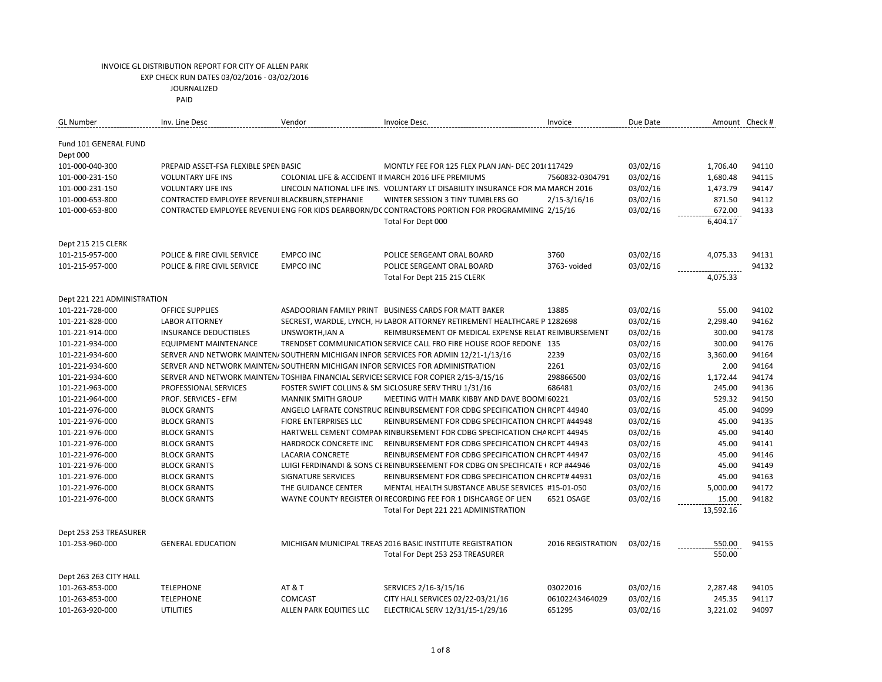|                                                                                                                                                        | Amount Check #  |
|--------------------------------------------------------------------------------------------------------------------------------------------------------|-----------------|
| Fund 101 GENERAL FUND                                                                                                                                  |                 |
| Dept 000                                                                                                                                               |                 |
| 03/02/16<br>101-000-040-300<br>PREPAID ASSET-FSA FLEXIBLE SPEN BASIC<br>MONTLY FEE FOR 125 FLEX PLAN JAN- DEC 201(117429<br>1,706.40                   | 94110           |
| 03/02/16<br>1,680.48<br>101-000-231-150<br><b>VOLUNTARY LIFE INS</b><br>COLONIAL LIFE & ACCIDENT II MARCH 2016 LIFE PREMIUMS<br>7560832-0304791        | 94115           |
| LINCOLN NATIONAL LIFE INS. VOLUNTARY LT DISABILITY INSURANCE FOR MA MARCH 2016<br>03/02/16<br>1,473.79<br>101-000-231-150<br><b>VOLUNTARY LIFE INS</b> | 94147           |
| CONTRACTED EMPLOYEE REVENUI BLACKBURN, STEPHANIE<br>03/02/16<br>101-000-653-800<br>WINTER SESSION 3 TINY TUMBLERS GO<br>$2/15 - 3/16/16$               | 94112<br>871.50 |
| CONTRACTED EMPLOYEE REVENUI ENG FOR KIDS DEARBORN/DC CONTRACTORS PORTION FOR PROGRAMMING 2/15/16<br>03/02/16<br>101-000-653-800                        | 94133<br>672.00 |
| 6,404.17<br>Total For Dept 000                                                                                                                         |                 |
| Dept 215 215 CLERK                                                                                                                                     |                 |
| 3760<br>101-215-957-000<br>POLICE & FIRE CIVIL SERVICE<br><b>EMPCO INC</b><br>03/02/16<br>4,075.33<br>POLICE SERGEANT ORAL BOARD                       | 94131           |
| 03/02/16<br>101-215-957-000<br>POLICE & FIRE CIVIL SERVICE<br><b>EMPCO INC</b><br>POLICE SERGEANT ORAL BOARD<br>3763- voided                           | 94132           |
| Total For Dept 215 215 CLERK<br>4,075.33                                                                                                               |                 |
| Dept 221 221 ADMINISTRATION                                                                                                                            |                 |
| 101-221-728-000<br><b>OFFICE SUPPLIES</b><br>ASADOORIAN FAMILY PRINT BUSINESS CARDS FOR MATT BAKER<br>13885<br>03/02/16                                | 55.00<br>94102  |
| 03/02/16<br>2,298.40<br>101-221-828-000<br><b>LABOR ATTORNEY</b><br>SECREST, WARDLE, LYNCH, H/ LABOR ATTORNEY RETIREMENT HEALTHCARE P 1282698          | 94162           |
| 03/02/16<br>101-221-914-000<br><b>INSURANCE DEDUCTIBLES</b><br>UNSWORTH, JAN A<br>REIMBURSEMENT OF MEDICAL EXPENSE RELAT REIMBURSEMENT                 | 300.00<br>94178 |
| 03/02/16<br>101-221-934-000<br><b>EQUIPMENT MAINTENANCE</b><br>TRENDSET COMMUNICATION SERVICE CALL FRO FIRE HOUSE ROOF REDONE 135                      | 94176<br>300.00 |
| 2239<br>03/02/16<br>3,360.00<br>101-221-934-600<br>SERVER AND NETWORK MAINTEN/SOUTHERN MICHIGAN INFOR SERVICES FOR ADMIN 12/21-1/13/16                 | 94164           |
| 2261<br>03/02/16<br>101-221-934-600<br>SERVER AND NETWORK MAINTEN/SOUTHERN MICHIGAN INFOR SERVICES FOR ADMINISTRATION                                  | 2.00<br>94164   |
| SERVER AND NETWORK MAINTEN/TOSHIBA FINANCIAL SERVICES SERVICE FOR COPIER 2/15-3/15/16<br>298866500<br>03/02/16<br>1,172.44<br>101-221-934-600          | 94174           |
| 101-221-963-000<br>PROFESSIONAL SERVICES<br>FOSTER SWIFT COLLINS & SM SICLOSURE SERV THRU 1/31/16<br>686481<br>03/02/16                                | 245.00<br>94136 |
| 101-221-964-000<br><b>MANNIK SMITH GROUP</b><br>03/02/16<br>PROF. SERVICES - EFM<br>MEETING WITH MARK KIBBY AND DAVE BOOM 60221                        | 94150<br>529.32 |
| ANGELO LAFRATE CONSTRUC REINBURSEMENT FOR CDBG SPECIFICATION CH RCPT 44940<br>03/02/16<br>101-221-976-000<br><b>BLOCK GRANTS</b>                       | 45.00<br>94099  |
| 03/02/16<br>101-221-976-000<br><b>BLOCK GRANTS</b><br><b>FIORE ENTERPRISES LLC</b><br>REINBURSEMENT FOR CDBG SPECIFICATION CH RCPT #44948              | 45.00<br>94135  |
| 03/02/16<br>101-221-976-000<br><b>BLOCK GRANTS</b><br>HARTWELL CEMENT COMPAN RINBURSEMENT FOR CDBG SPECIFICATION CHA RCPT 44945                        | 94140<br>45.00  |
| 03/02/16<br>101-221-976-000<br><b>BLOCK GRANTS</b><br>HARDROCK CONCRETE INC<br>REINBURSEMENT FOR CDBG SPECIFICATION CH RCPT 44943                      | 45.00<br>94141  |
| LACARIA CONCRETE<br>03/02/16<br>101-221-976-000<br><b>BLOCK GRANTS</b><br>REINBURSEMENT FOR CDBG SPECIFICATION CH RCPT 44947                           | 45.00<br>94146  |
| 101-221-976-000<br><b>BLOCK GRANTS</b><br>LUIGI FERDINANDI & SONS CE REINBURSEEMENT FOR CDBG ON SPECIFICATE RCP #44946<br>03/02/16                     | 45.00<br>94149  |
| 03/02/16<br>101-221-976-000<br><b>BLOCK GRANTS</b><br>SIGNATURE SERVICES<br>REINBURSEMENT FOR CDBG SPECIFICATION CH RCPT# 44931                        | 45.00<br>94163  |
| 03/02/16<br>5,000.00<br>101-221-976-000<br><b>BLOCK GRANTS</b><br>THE GUIDANCE CENTER<br>MENTAL HEALTH SUBSTANCE ABUSE SERVICES #15-01-050             | 94172           |
| 03/02/16<br>101-221-976-000<br><b>BLOCK GRANTS</b><br>WAYNE COUNTY REGISTER OI RECORDING FEE FOR 1 DISHCARGE OF LIEN<br>6521 OSAGE                     | 94182<br>15.00  |
| 13,592.16<br>Total For Dept 221 221 ADMINISTRATION                                                                                                     |                 |
| Dept 253 253 TREASURER                                                                                                                                 |                 |
| 2016 REGISTRATION<br>03/02/16<br>101-253-960-000<br><b>GENERAL EDUCATION</b><br>MICHIGAN MUNICIPAL TREAS 2016 BASIC INSTITUTE REGISTRATION             | 550.00<br>94155 |
| Total For Dept 253 253 TREASURER                                                                                                                       | 550.00          |
| Dept 263 263 CITY HALL                                                                                                                                 |                 |
| <b>TELEPHONE</b><br><b>AT &amp; T</b><br>SERVICES 2/16-3/15/16<br>03022016<br>03/02/16<br>2,287.48<br>101-263-853-000                                  | 94105           |
| <b>TELEPHONE</b><br>CITY HALL SERVICES 02/22-03/21/16<br>06102243464029<br>03/02/16<br>101-263-853-000<br><b>COMCAST</b>                               | 245.35<br>94117 |
| 101-263-920-000<br><b>UTILITIES</b><br>ALLEN PARK EQUITIES LLC<br>ELECTRICAL SERV 12/31/15-1/29/16<br>651295<br>03/02/16<br>3,221.02                   | 94097           |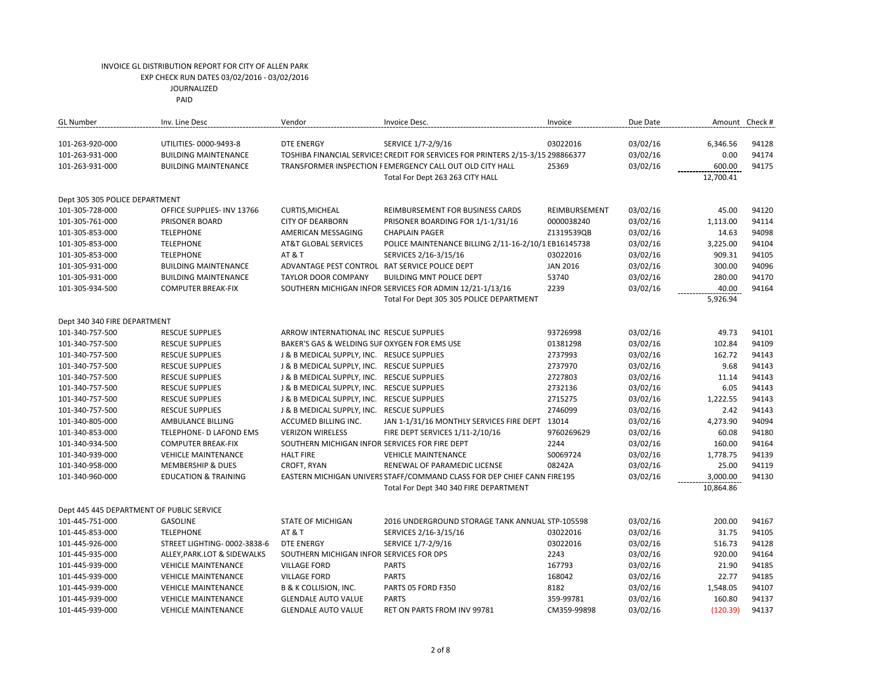JOURNALIZED

| <b>GL Number</b>                          | Inv. Line Desc                  | Vendor                                         | Invoice Desc.                                                                   | Invoice         | Due Date |           | Amount Check # |
|-------------------------------------------|---------------------------------|------------------------------------------------|---------------------------------------------------------------------------------|-----------------|----------|-----------|----------------|
| 101-263-920-000                           | UTILITIES-0000-9493-8           | <b>DTE ENERGY</b>                              | SERVICE 1/7-2/9/16                                                              | 03022016        | 03/02/16 | 6,346.56  | 94128          |
| 101-263-931-000                           | <b>BUILDING MAINTENANCE</b>     |                                                | TOSHIBA FINANCIAL SERVICE: CREDIT FOR SERVICES FOR PRINTERS 2/15-3/15 298866377 |                 | 03/02/16 | 0.00      | 94174          |
| 101-263-931-000                           | <b>BUILDING MAINTENANCE</b>     |                                                | TRANSFORMER INSPECTION FEMERGENCY CALL OUT OLD CITY HALL                        | 25369           | 03/02/16 | 600.00    | 94175          |
|                                           |                                 |                                                | Total For Dept 263 263 CITY HALL                                                |                 |          | 12,700.41 |                |
| Dept 305 305 POLICE DEPARTMENT            |                                 |                                                |                                                                                 |                 |          |           |                |
| 101-305-728-000                           | OFFICE SUPPLIES- INV 13766      | CURTIS, MICHEAL                                | REIMBURSEMENT FOR BUSINESS CARDS                                                | REIMBURSEMENT   | 03/02/16 | 45.00     | 94120          |
| 101-305-761-000                           | PRISONER BOARD                  | <b>CITY OF DEARBORN</b>                        | PRISONER BOARDING FOR 1/1-1/31/16                                               | 0000038240      | 03/02/16 | 1,113.00  | 94114          |
| 101-305-853-000                           | <b>TELEPHONE</b>                | AMERICAN MESSAGING                             | <b>CHAPLAIN PAGER</b>                                                           | Z1319539QB      | 03/02/16 | 14.63     | 94098          |
| 101-305-853-000                           | <b>TELEPHONE</b>                | <b>AT&amp;T GLOBAL SERVICES</b>                | POLICE MAINTENANCE BILLING 2/11-16-2/10/1 EB16145738                            |                 | 03/02/16 | 3,225.00  | 94104          |
| 101-305-853-000                           | <b>TELEPHONE</b>                | <b>AT &amp; T</b>                              | SERVICES 2/16-3/15/16                                                           | 03022016        | 03/02/16 | 909.31    | 94105          |
| 101-305-931-000                           | <b>BUILDING MAINTENANCE</b>     | ADVANTAGE PEST CONTROL RAT SERVICE POLICE DEPT |                                                                                 | <b>JAN 2016</b> | 03/02/16 | 300.00    | 94096          |
| 101-305-931-000                           | <b>BUILDING MAINTENANCE</b>     | <b>TAYLOR DOOR COMPANY</b>                     | BUILDING MNT POLICE DEPT                                                        | 53740           | 03/02/16 | 280.00    | 94170          |
| 101-305-934-500                           | <b>COMPUTER BREAK-FIX</b>       |                                                | SOUTHERN MICHIGAN INFOR SERVICES FOR ADMIN 12/21-1/13/16                        | 2239            | 03/02/16 | 40.00     | 94164          |
|                                           |                                 |                                                |                                                                                 |                 |          | 5,926.94  |                |
|                                           |                                 |                                                | Total For Dept 305 305 POLICE DEPARTMENT                                        |                 |          |           |                |
| Dept 340 340 FIRE DEPARTMENT              |                                 |                                                |                                                                                 |                 |          |           |                |
| 101-340-757-500                           | <b>RESCUE SUPPLIES</b>          | ARROW INTERNATIONAL INC RESCUE SUPPLIES        |                                                                                 | 93726998        | 03/02/16 | 49.73     | 94101          |
| 101-340-757-500                           | <b>RESCUE SUPPLIES</b>          | BAKER'S GAS & WELDING SUF OXYGEN FOR EMS USE   |                                                                                 | 01381298        | 03/02/16 | 102.84    | 94109          |
| 101-340-757-500                           | <b>RESCUE SUPPLIES</b>          | J & B MEDICAL SUPPLY, INC. RESUCE SUPPLIES     |                                                                                 | 2737993         | 03/02/16 | 162.72    | 94143          |
| 101-340-757-500                           | <b>RESCUE SUPPLIES</b>          | J & B MEDICAL SUPPLY, INC. RESCUE SUPPLIES     |                                                                                 | 2737970         | 03/02/16 | 9.68      | 94143          |
| 101-340-757-500                           | <b>RESCUE SUPPLIES</b>          | J & B MEDICAL SUPPLY, INC. RESCUE SUPPLIES     |                                                                                 | 2727803         | 03/02/16 | 11.14     | 94143          |
| 101-340-757-500                           | <b>RESCUE SUPPLIES</b>          | J & B MEDICAL SUPPLY, INC. RESCUE SUPPLIES     |                                                                                 | 2732136         | 03/02/16 | 6.05      | 94143          |
| 101-340-757-500                           | <b>RESCUE SUPPLIES</b>          | J & B MEDICAL SUPPLY, INC. RESCUE SUPPLIES     |                                                                                 | 2715275         | 03/02/16 | 1,222.55  | 94143          |
| 101-340-757-500                           | <b>RESCUE SUPPLIES</b>          | J & B MEDICAL SUPPLY, INC. RESCUE SUPPLIES     |                                                                                 | 2746099         | 03/02/16 | 2.42      | 94143          |
| 101-340-805-000                           | AMBULANCE BILLING               | ACCUMED BILLING INC.                           | JAN 1-1/31/16 MONTHLY SERVICES FIRE DEPT 13014                                  |                 | 03/02/16 | 4,273.90  | 94094          |
| 101-340-853-000                           | TELEPHONE- D LAFOND EMS         | <b>VERIZON WIRELESS</b>                        | FIRE DEPT SERVICES 1/11-2/10/16                                                 | 9760269629      | 03/02/16 | 60.08     | 94180          |
| 101-340-934-500                           | <b>COMPUTER BREAK-FIX</b>       | SOUTHERN MICHIGAN INFOR SERVICES FOR FIRE DEPT |                                                                                 | 2244            | 03/02/16 | 160.00    | 94164          |
| 101-340-939-000                           | <b>VEHICLE MAINTENANCE</b>      | <b>HALT FIRE</b>                               | <b>VEHICLE MAINTENANCE</b>                                                      | S0069724        | 03/02/16 | 1,778.75  | 94139          |
| 101-340-958-000                           | <b>MEMBERSHIP &amp; DUES</b>    | CROFT, RYAN                                    | RENEWAL OF PARAMEDIC LICENSE                                                    | 08242A          | 03/02/16 | 25.00     | 94119          |
| 101-340-960-000                           | <b>EDUCATION &amp; TRAINING</b> |                                                | EASTERN MICHIGAN UNIVERS STAFF/COMMAND CLASS FOR DEP CHIEF CANN FIRE195         |                 | 03/02/16 | 3,000.00  | 94130          |
|                                           |                                 |                                                | Total For Dept 340 340 FIRE DEPARTMENT                                          |                 |          | 10,864.86 |                |
|                                           |                                 |                                                |                                                                                 |                 |          |           |                |
| Dept 445 445 DEPARTMENT OF PUBLIC SERVICE |                                 |                                                |                                                                                 |                 |          |           |                |
| 101-445-751-000                           | <b>GASOLINE</b>                 | <b>STATE OF MICHIGAN</b>                       | 2016 UNDERGROUND STORAGE TANK ANNUAL STP-105598                                 |                 | 03/02/16 | 200.00    | 94167          |
| 101-445-853-000                           | <b>TELEPHONE</b>                | <b>AT &amp; T</b>                              | SERVICES 2/16-3/15/16                                                           | 03022016        | 03/02/16 | 31.75     | 94105          |
| 101-445-926-000                           | STREET LIGHTING- 0002-3838-6    | <b>DTE ENERGY</b>                              | SERVICE 1/7-2/9/16                                                              | 03022016        | 03/02/16 | 516.73    | 94128          |
| 101-445-935-000                           | ALLEY, PARK.LOT & SIDEWALKS     | SOUTHERN MICHIGAN INFOR SERVICES FOR DPS       |                                                                                 | 2243            | 03/02/16 | 920.00    | 94164          |
| 101-445-939-000                           | <b>VEHICLE MAINTENANCE</b>      | <b>VILLAGE FORD</b>                            | <b>PARTS</b>                                                                    | 167793          | 03/02/16 | 21.90     | 94185          |
| 101-445-939-000                           | <b>VEHICLE MAINTENANCE</b>      | <b>VILLAGE FORD</b>                            | <b>PARTS</b>                                                                    | 168042          | 03/02/16 | 22.77     | 94185          |
| 101-445-939-000                           | <b>VEHICLE MAINTENANCE</b>      | B & K COLLISION, INC.                          | PARTS 05 FORD F350                                                              | 8182            | 03/02/16 | 1,548.05  | 94107          |
| 101-445-939-000                           | <b>VEHICLE MAINTENANCE</b>      | <b>GLENDALE AUTO VALUE</b>                     | <b>PARTS</b>                                                                    | 359-99781       | 03/02/16 | 160.80    | 94137          |
| 101-445-939-000                           | <b>VEHICLE MAINTENANCE</b>      | <b>GLENDALE AUTO VALUE</b>                     | RET ON PARTS FROM INV 99781                                                     | CM359-99898     | 03/02/16 | (120.39)  | 94137          |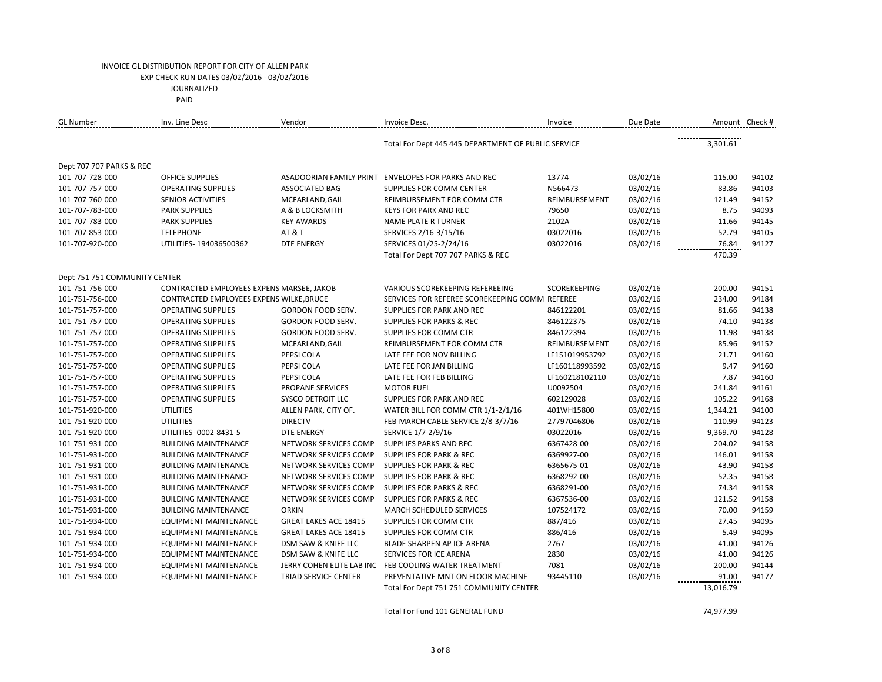PAID

| <b>GL Number</b>              | Inv. Line Desc                            | Vendor                       | Invoice Desc.                                         | Invoice        | Due Date |           | Amount Check # |
|-------------------------------|-------------------------------------------|------------------------------|-------------------------------------------------------|----------------|----------|-----------|----------------|
|                               |                                           |                              | Total For Dept 445 445 DEPARTMENT OF PUBLIC SERVICE   |                |          | 3,301.61  |                |
| Dept 707 707 PARKS & REC      |                                           |                              |                                                       |                |          |           |                |
| 101-707-728-000               | <b>OFFICE SUPPLIES</b>                    |                              | ASADOORIAN FAMILY PRINT ENVELOPES FOR PARKS AND REC   | 13774          | 03/02/16 | 115.00    | 94102          |
| 101-707-757-000               | <b>OPERATING SUPPLIES</b>                 | <b>ASSOCIATED BAG</b>        | <b>SUPPLIES FOR COMM CENTER</b>                       | N566473        | 03/02/16 | 83.86     | 94103          |
| 101-707-760-000               | SENIOR ACTIVITIES                         | MCFARLAND, GAIL              | REIMBURSEMENT FOR COMM CTR                            | REIMBURSEMENT  | 03/02/16 | 121.49    | 94152          |
| 101-707-783-000               | <b>PARK SUPPLIES</b>                      | A & B LOCKSMITH              | <b>KEYS FOR PARK AND REC</b>                          | 79650          | 03/02/16 | 8.75      | 94093          |
| 101-707-783-000               | <b>PARK SUPPLIES</b>                      | <b>KEY AWARDS</b>            | <b>NAME PLATE R TURNER</b>                            | 2102A          | 03/02/16 | 11.66     | 94145          |
| 101-707-853-000               | <b>TELEPHONE</b>                          | <b>AT &amp; T</b>            | SERVICES 2/16-3/15/16                                 | 03022016       | 03/02/16 | 52.79     | 94105          |
| 101-707-920-000               | UTILITIES-194036500362                    | <b>DTE ENERGY</b>            | SERVICES 01/25-2/24/16                                | 03022016       | 03/02/16 | 76.84     | 94127          |
|                               |                                           |                              | Total For Dept 707 707 PARKS & REC                    |                |          | 470.39    |                |
| Dept 751 751 COMMUNITY CENTER |                                           |                              |                                                       |                |          |           |                |
| 101-751-756-000               | CONTRACTED EMPLOYEES EXPENS MARSEE, JAKOB |                              | VARIOUS SCOREKEEPING REFEREEING                       | SCOREKEEPING   | 03/02/16 | 200.00    | 94151          |
| 101-751-756-000               | CONTRACTED EMPLOYEES EXPENS WILKE, BRUCE  |                              | SERVICES FOR REFEREE SCOREKEEPING COMM REFEREE        |                | 03/02/16 | 234.00    | 94184          |
| 101-751-757-000               | <b>OPERATING SUPPLIES</b>                 | GORDON FOOD SERV.            | SUPPLIES FOR PARK AND REC                             | 846122201      | 03/02/16 | 81.66     | 94138          |
| 101-751-757-000               | <b>OPERATING SUPPLIES</b>                 | GORDON FOOD SERV.            | <b>SUPPLIES FOR PARKS &amp; REC</b>                   | 846122375      | 03/02/16 | 74.10     | 94138          |
| 101-751-757-000               | <b>OPERATING SUPPLIES</b>                 | GORDON FOOD SERV.            | SUPPLIES FOR COMM CTR                                 | 846122394      | 03/02/16 | 11.98     | 94138          |
| 101-751-757-000               | <b>OPERATING SUPPLIES</b>                 | MCFARLAND, GAIL              | REIMBURSEMENT FOR COMM CTR                            | REIMBURSEMENT  | 03/02/16 | 85.96     | 94152          |
| 101-751-757-000               | <b>OPERATING SUPPLIES</b>                 | PEPSI COLA                   | LATE FEE FOR NOV BILLING                              | LF151019953792 | 03/02/16 | 21.71     | 94160          |
| 101-751-757-000               | <b>OPERATING SUPPLIES</b>                 | PEPSI COLA                   | LATE FEE FOR JAN BILLING                              | LF160118993592 | 03/02/16 | 9.47      | 94160          |
| 101-751-757-000               | <b>OPERATING SUPPLIES</b>                 | PEPSI COLA                   | LATE FEE FOR FEB BILLING                              | LF160218102110 | 03/02/16 | 7.87      | 94160          |
| 101-751-757-000               | <b>OPERATING SUPPLIES</b>                 | PROPANE SERVICES             | <b>MOTOR FUEL</b>                                     | U0092504       | 03/02/16 | 241.84    | 94161          |
| 101-751-757-000               | <b>OPERATING SUPPLIES</b>                 | <b>SYSCO DETROIT LLC</b>     | SUPPLIES FOR PARK AND REC                             | 602129028      | 03/02/16 | 105.22    | 94168          |
| 101-751-920-000               | <b>UTILITIES</b>                          | ALLEN PARK, CITY OF.         | WATER BILL FOR COMM CTR 1/1-2/1/16                    | 401WH15800     | 03/02/16 | 1,344.21  | 94100          |
| 101-751-920-000               | <b>UTILITIES</b>                          | <b>DIRECTV</b>               | FEB-MARCH CABLE SERVICE 2/8-3/7/16                    | 27797046806    | 03/02/16 | 110.99    | 94123          |
| 101-751-920-000               | UTILITIES- 0002-8431-5                    | <b>DTE ENERGY</b>            | SERVICE 1/7-2/9/16                                    | 03022016       | 03/02/16 | 9,369.70  | 94128          |
| 101-751-931-000               | <b>BUILDING MAINTENANCE</b>               | NETWORK SERVICES COMP        | SUPPLIES PARKS AND REC                                | 6367428-00     | 03/02/16 | 204.02    | 94158          |
| 101-751-931-000               | <b>BUILDING MAINTENANCE</b>               | NETWORK SERVICES COMP        | <b>SUPPLIES FOR PARK &amp; REC</b>                    | 6369927-00     | 03/02/16 | 146.01    | 94158          |
| 101-751-931-000               | <b>BUILDING MAINTENANCE</b>               | NETWORK SERVICES COMP        | <b>SUPPLIES FOR PARK &amp; REC</b>                    | 6365675-01     | 03/02/16 | 43.90     | 94158          |
| 101-751-931-000               | <b>BUILDING MAINTENANCE</b>               | NETWORK SERVICES COMP        | <b>SUPPLIES FOR PARK &amp; REC</b>                    | 6368292-00     | 03/02/16 | 52.35     | 94158          |
| 101-751-931-000               | <b>BUILDING MAINTENANCE</b>               | NETWORK SERVICES COMP        | <b>SUPPLIES FOR PARKS &amp; REC</b>                   | 6368291-00     | 03/02/16 | 74.34     | 94158          |
| 101-751-931-000               | <b>BUILDING MAINTENANCE</b>               | NETWORK SERVICES COMP        | <b>SUPPLIES FOR PARKS &amp; REC</b>                   | 6367536-00     | 03/02/16 | 121.52    | 94158          |
| 101-751-931-000               | <b>BUILDING MAINTENANCE</b>               | <b>ORKIN</b>                 | <b>MARCH SCHEDULED SERVICES</b>                       | 107524172      | 03/02/16 | 70.00     | 94159          |
| 101-751-934-000               | <b>EQUIPMENT MAINTENANCE</b>              | <b>GREAT LAKES ACE 18415</b> | SUPPLIES FOR COMM CTR                                 | 887/416        | 03/02/16 | 27.45     | 94095          |
| 101-751-934-000               | <b>EQUIPMENT MAINTENANCE</b>              | <b>GREAT LAKES ACE 18415</b> | SUPPLIES FOR COMM CTR                                 | 886/416        | 03/02/16 | 5.49      | 94095          |
| 101-751-934-000               | <b>EQUIPMENT MAINTENANCE</b>              | DSM SAW & KNIFE LLC          | BLADE SHARPEN AP ICE ARENA                            | 2767           | 03/02/16 | 41.00     | 94126          |
| 101-751-934-000               | <b>EQUIPMENT MAINTENANCE</b>              | DSM SAW & KNIFE LLC          | <b>SERVICES FOR ICE ARENA</b>                         | 2830           | 03/02/16 | 41.00     | 94126          |
| 101-751-934-000               | <b>EQUIPMENT MAINTENANCE</b>              |                              | JERRY COHEN ELITE LAB INC FEB COOLING WATER TREATMENT | 7081           | 03/02/16 | 200.00    | 94144          |
| 101-751-934-000               | <b>EQUIPMENT MAINTENANCE</b>              | <b>TRIAD SERVICE CENTER</b>  | PREVENTATIVE MNT ON FLOOR MACHINE                     | 93445110       | 03/02/16 | 91.00     | 94177          |
|                               |                                           |                              | Total For Dept 751 751 COMMUNITY CENTER               |                |          | 13,016.79 |                |

Total For Fund 101 GENERAL FUND 74,977.99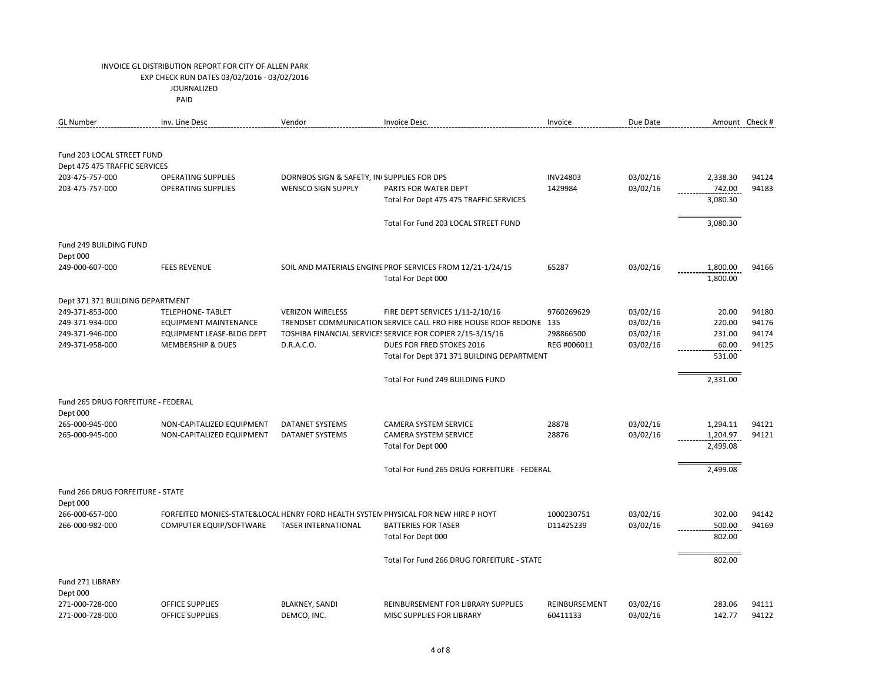| <b>GL Number</b>                                            | Inv. Line Desc                   | Vendor                                     | Invoice Desc.                                                                      | Invoice         | Due Date |          | Amount Check # |
|-------------------------------------------------------------|----------------------------------|--------------------------------------------|------------------------------------------------------------------------------------|-----------------|----------|----------|----------------|
| Fund 203 LOCAL STREET FUND<br>Dept 475 475 TRAFFIC SERVICES |                                  |                                            |                                                                                    |                 |          |          |                |
| 203-475-757-000                                             | <b>OPERATING SUPPLIES</b>        | DORNBOS SIGN & SAFETY, IN SUPPLIES FOR DPS |                                                                                    | <b>INV24803</b> | 03/02/16 | 2,338.30 | 94124          |
| 203-475-757-000                                             | <b>OPERATING SUPPLIES</b>        | <b>WENSCO SIGN SUPPLY</b>                  | PARTS FOR WATER DEPT                                                               | 1429984         | 03/02/16 | 742.00   | 94183          |
|                                                             |                                  |                                            | Total For Dept 475 475 TRAFFIC SERVICES                                            |                 |          | 3,080.30 |                |
|                                                             |                                  |                                            |                                                                                    |                 |          |          |                |
|                                                             |                                  |                                            | Total For Fund 203 LOCAL STREET FUND                                               |                 |          | 3,080.30 |                |
| Fund 249 BUILDING FUND<br>Dept 000                          |                                  |                                            |                                                                                    |                 |          |          |                |
| 249-000-607-000                                             | <b>FEES REVENUE</b>              |                                            | SOIL AND MATERIALS ENGINE PROF SERVICES FROM 12/21-1/24/15                         | 65287           | 03/02/16 | 1,800.00 | 94166          |
|                                                             |                                  |                                            | Total For Dept 000                                                                 |                 |          | 1,800.00 |                |
| Dept 371 371 BUILDING DEPARTMENT                            |                                  |                                            |                                                                                    |                 |          |          |                |
| 249-371-853-000                                             | <b>TELEPHONE- TABLET</b>         | <b>VERIZON WIRELESS</b>                    | FIRE DEPT SERVICES 1/11-2/10/16                                                    | 9760269629      | 03/02/16 | 20.00    | 94180          |
| 249-371-934-000                                             | <b>EQUIPMENT MAINTENANCE</b>     |                                            | TRENDSET COMMUNICATION SERVICE CALL FRO FIRE HOUSE ROOF REDONE 135                 |                 | 03/02/16 | 220.00   | 94176          |
| 249-371-946-000                                             | <b>EQUIPMENT LEASE-BLDG DEPT</b> |                                            | TOSHIBA FINANCIAL SERVICE: SERVICE FOR COPIER 2/15-3/15/16                         | 298866500       | 03/02/16 | 231.00   | 94174          |
| 249-371-958-000                                             | <b>MEMBERSHIP &amp; DUES</b>     | D.R.A.C.O.                                 | <b>DUES FOR FRED STOKES 2016</b>                                                   | REG #006011     | 03/02/16 | 60.00    | 94125          |
|                                                             |                                  |                                            | Total For Dept 371 371 BUILDING DEPARTMENT                                         |                 |          | 531.00   |                |
|                                                             |                                  |                                            | Total For Fund 249 BUILDING FUND                                                   |                 |          | 2,331.00 |                |
| Fund 265 DRUG FORFEITURE - FEDERAL                          |                                  |                                            |                                                                                    |                 |          |          |                |
| Dept 000                                                    |                                  |                                            |                                                                                    |                 |          |          |                |
| 265-000-945-000                                             | NON-CAPITALIZED EQUIPMENT        | DATANET SYSTEMS                            | <b>CAMERA SYSTEM SERVICE</b>                                                       | 28878           | 03/02/16 | 1,294.11 | 94121          |
| 265-000-945-000                                             | NON-CAPITALIZED EQUIPMENT        | DATANET SYSTEMS                            | <b>CAMERA SYSTEM SERVICE</b>                                                       | 28876           | 03/02/16 | 1,204.97 | 94121          |
|                                                             |                                  |                                            | Total For Dept 000                                                                 |                 |          | 2,499.08 |                |
|                                                             |                                  |                                            | Total For Fund 265 DRUG FORFEITURE - FEDERAL                                       |                 |          | 2,499.08 |                |
|                                                             |                                  |                                            |                                                                                    |                 |          |          |                |
| Fund 266 DRUG FORFEITURE - STATE<br>Dept 000                |                                  |                                            |                                                                                    |                 |          |          |                |
| 266-000-657-000                                             |                                  |                                            | FORFEITED MONIES-STATE&LOCAL HENRY FORD HEALTH SYSTEM PHYSICAL FOR NEW HIRE P HOYT | 1000230751      | 03/02/16 | 302.00   | 94142          |
| 266-000-982-000                                             | COMPUTER EQUIP/SOFTWARE          | TASER INTERNATIONAL                        | <b>BATTERIES FOR TASER</b>                                                         | D11425239       | 03/02/16 | 500.00   | 94169          |
|                                                             |                                  |                                            | Total For Dept 000                                                                 |                 |          | 802.00   |                |
|                                                             |                                  |                                            | Total For Fund 266 DRUG FORFEITURE - STATE                                         |                 |          | 802.00   |                |
| Fund 271 LIBRARY<br>Dept 000                                |                                  |                                            |                                                                                    |                 |          |          |                |
| 271-000-728-000                                             | <b>OFFICE SUPPLIES</b>           | <b>BLAKNEY, SANDI</b>                      | REINBURSEMENT FOR LIBRARY SUPPLIES                                                 | REINBURSEMENT   | 03/02/16 | 283.06   | 94111          |
| 271-000-728-000                                             | <b>OFFICE SUPPLIES</b>           | DEMCO, INC.                                | MISC SUPPLIES FOR LIBRARY                                                          | 60411133        | 03/02/16 | 142.77   | 94122          |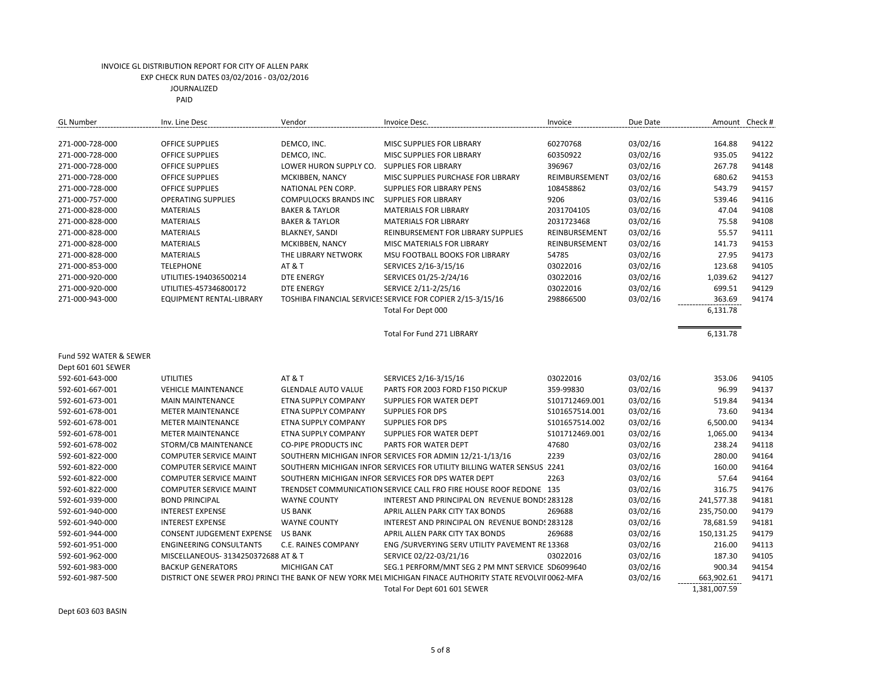PAID

| <b>GL Number</b>                   | Inv. Line Desc                      | Vendor                                      | Invoice Desc.                                                                                             | Invoice        | Due Date             |                      | Amount Check # |
|------------------------------------|-------------------------------------|---------------------------------------------|-----------------------------------------------------------------------------------------------------------|----------------|----------------------|----------------------|----------------|
|                                    |                                     |                                             |                                                                                                           |                |                      |                      |                |
| 271-000-728-000                    | <b>OFFICE SUPPLIES</b>              | DEMCO, INC.                                 | MISC SUPPLIES FOR LIBRARY                                                                                 | 60270768       | 03/02/16             | 164.88               | 94122          |
| 271-000-728-000                    | <b>OFFICE SUPPLIES</b>              | DEMCO, INC.                                 | MISC SUPPLIES FOR LIBRARY                                                                                 | 60350922       | 03/02/16             | 935.05               | 94122          |
| 271-000-728-000                    | <b>OFFICE SUPPLIES</b>              | LOWER HURON SUPPLY CO. SUPPLIES FOR LIBRARY |                                                                                                           | 396967         | 03/02/16             | 267.78               | 94148          |
| 271-000-728-000                    | <b>OFFICE SUPPLIES</b>              | MCKIBBEN, NANCY                             | MISC SUPPLIES PURCHASE FOR LIBRARY                                                                        | REIMBURSEMENT  | 03/02/16             | 680.62               | 94153          |
| 271-000-728-000                    | <b>OFFICE SUPPLIES</b>              | NATIONAL PEN CORP.                          | <b>SUPPLIES FOR LIBRARY PENS</b>                                                                          | 108458862      | 03/02/16             | 543.79               | 94157          |
| 271-000-757-000                    | <b>OPERATING SUPPLIES</b>           | <b>COMPULOCKS BRANDS INC</b>                | <b>SUPPLIES FOR LIBRARY</b>                                                                               | 9206           | 03/02/16             | 539.46               | 94116          |
| 271-000-828-000                    | <b>MATERIALS</b>                    | <b>BAKER &amp; TAYLOR</b>                   | <b>MATERIALS FOR LIBRARY</b>                                                                              | 2031704105     | 03/02/16             | 47.04                | 94108          |
| 271-000-828-000                    | <b>MATERIALS</b>                    | <b>BAKER &amp; TAYLOR</b>                   | <b>MATERIALS FOR LIBRARY</b>                                                                              | 2031723468     | 03/02/16             | 75.58                | 94108          |
| 271-000-828-000                    | <b>MATERIALS</b>                    | <b>BLAKNEY, SANDI</b>                       | REINBURSEMENT FOR LIBRARY SUPPLIES                                                                        | REINBURSEMENT  | 03/02/16             | 55.57                | 94111          |
| 271-000-828-000                    | <b>MATERIALS</b>                    | MCKIBBEN, NANCY                             | MISC MATERIALS FOR LIBRARY                                                                                | REINBURSEMENT  | 03/02/16             | 141.73               | 94153          |
| 271-000-828-000                    | <b>MATERIALS</b>                    | THE LIBRARY NETWORK                         | MSU FOOTBALL BOOKS FOR LIBRARY                                                                            | 54785          | 03/02/16             | 27.95                | 94173          |
| 271-000-853-000                    | <b>TELEPHONE</b>                    | <b>AT &amp; T</b>                           | SERVICES 2/16-3/15/16                                                                                     | 03022016       | 03/02/16             | 123.68               | 94105          |
| 271-000-920-000                    | UTILITIES-194036500214              | <b>DTE ENERGY</b>                           | SERVICES 01/25-2/24/16                                                                                    | 03022016       | 03/02/16             | 1,039.62             | 94127          |
| 271-000-920-000                    | UTILITIES-457346800172              | <b>DTE ENERGY</b>                           | SERVICE 2/11-2/25/16                                                                                      | 03022016       | 03/02/16             | 699.51               | 94129          |
| 271-000-943-000                    | EQUIPMENT RENTAL-LIBRARY            |                                             | TOSHIBA FINANCIAL SERVICE: SERVICE FOR COPIER 2/15-3/15/16                                                | 298866500      | 03/02/16             | 363.69               | 94174          |
|                                    |                                     |                                             | Total For Dept 000                                                                                        |                |                      | 6,131.78             |                |
|                                    |                                     |                                             |                                                                                                           |                |                      |                      |                |
|                                    |                                     |                                             | <b>Total For Fund 271 LIBRARY</b>                                                                         |                |                      | 6,131.78             |                |
| Fund 592 WATER & SEWER             |                                     |                                             |                                                                                                           |                |                      |                      |                |
| Dept 601 601 SEWER                 |                                     |                                             |                                                                                                           |                |                      |                      |                |
| 592-601-643-000                    | <b>UTILITIES</b>                    | <b>AT &amp; T</b>                           | SERVICES 2/16-3/15/16                                                                                     | 03022016       | 03/02/16             | 353.06               | 94105          |
| 592-601-667-001                    | <b>VEHICLE MAINTENANCE</b>          | <b>GLENDALE AUTO VALUE</b>                  | PARTS FOR 2003 FORD F150 PICKUP                                                                           | 359-99830      | 03/02/16             | 96.99                | 94137          |
| 592-601-673-001                    | <b>MAIN MAINTENANCE</b>             | ETNA SUPPLY COMPANY                         | <b>SUPPLIES FOR WATER DEPT</b>                                                                            | S101712469.001 | 03/02/16             | 519.84               | 94134          |
| 592-601-678-001                    | <b>METER MAINTENANCE</b>            | ETNA SUPPLY COMPANY                         | <b>SUPPLIES FOR DPS</b>                                                                                   | S101657514.001 | 03/02/16             | 73.60                | 94134          |
| 592-601-678-001                    | <b>METER MAINTENANCE</b>            | ETNA SUPPLY COMPANY                         | <b>SUPPLIES FOR DPS</b>                                                                                   | S101657514.002 | 03/02/16             | 6,500.00             | 94134          |
| 592-601-678-001                    | <b>METER MAINTENANCE</b>            | ETNA SUPPLY COMPANY                         | SUPPLIES FOR WATER DEPT                                                                                   | S101712469.001 | 03/02/16             | 1,065.00             | 94134          |
| 592-601-678-002                    | STORM/CB MAINTENANCE                | <b>CO-PIPE PRODUCTS INC</b>                 | PARTS FOR WATER DEPT                                                                                      | 47680          | 03/02/16             | 238.24               | 94118          |
| 592-601-822-000                    | <b>COMPUTER SERVICE MAINT</b>       |                                             | SOUTHERN MICHIGAN INFOR SERVICES FOR ADMIN 12/21-1/13/16                                                  | 2239           | 03/02/16             | 280.00               | 94164          |
| 592-601-822-000                    | <b>COMPUTER SERVICE MAINT</b>       |                                             | SOUTHERN MICHIGAN INFOR SERVICES FOR UTILITY BILLING WATER SENSUS 2241                                    |                | 03/02/16             | 160.00               | 94164          |
| 592-601-822-000                    | <b>COMPUTER SERVICE MAINT</b>       |                                             | SOUTHERN MICHIGAN INFOR SERVICES FOR DPS WATER DEPT                                                       | 2263           | 03/02/16             | 57.64                | 94164          |
| 592-601-822-000                    | <b>COMPUTER SERVICE MAINT</b>       |                                             | TRENDSET COMMUNICATION SERVICE CALL FRO FIRE HOUSE ROOF REDONE 135                                        |                | 03/02/16             | 316.75               | 94176          |
| 592-601-939-000                    | <b>BOND PRINCIPAL</b>               | <b>WAYNE COUNTY</b>                         | INTEREST AND PRINCIPAL ON REVENUE BOND: 283128                                                            |                | 03/02/16             | 241,577.38           | 94181          |
| 592-601-940-000                    | <b>INTEREST EXPENSE</b>             | <b>US BANK</b>                              | APRIL ALLEN PARK CITY TAX BONDS                                                                           | 269688         | 03/02/16             | 235,750.00           | 94179          |
| 592-601-940-000                    | <b>INTEREST EXPENSE</b>             | <b>WAYNE COUNTY</b>                         | INTEREST AND PRINCIPAL ON REVENUE BOND! 283128                                                            |                | 03/02/16             | 78,681.59            | 94181          |
|                                    | CONSENT JUDGEMENT EXPENSE           | <b>US BANK</b>                              | APRIL ALLEN PARK CITY TAX BONDS                                                                           | 269688         |                      |                      | 94179          |
| 592-601-944-000<br>592-601-951-000 | <b>ENGINEERING CONSULTANTS</b>      | C.E. RAINES COMPANY                         | ENG /SURVERYING SERV UTILITY PAVEMENT RE 13368                                                            |                | 03/02/16<br>03/02/16 | 150,131.25<br>216.00 | 94113          |
|                                    |                                     |                                             |                                                                                                           |                |                      |                      |                |
| 592-601-962-000                    | MISCELLANEOUS- 3134250372688 AT & T |                                             | SERVICE 02/22-03/21/16                                                                                    | 03022016       | 03/02/16             | 187.30               | 94105          |
| 592-601-983-000                    | <b>BACKUP GENERATORS</b>            | <b>MICHIGAN CAT</b>                         | SEG.1 PERFORM/MNT SEG 2 PM MNT SERVICE SD6099640                                                          |                | 03/02/16             | 900.34               | 94154          |
| 592-601-987-500                    |                                     |                                             | DISTRICT ONE SEWER PROJ PRINCI THE BANK OF NEW YORK MEL MICHIGAN FINACE AUTHORITY STATE REVOLVII 0062-MFA |                | 03/02/16             | 663,902.61           | 94171          |
|                                    |                                     |                                             | Total For Dept 601 601 SEWER                                                                              |                |                      | 1,381,007.59         |                |

Dept 603 603 BASIN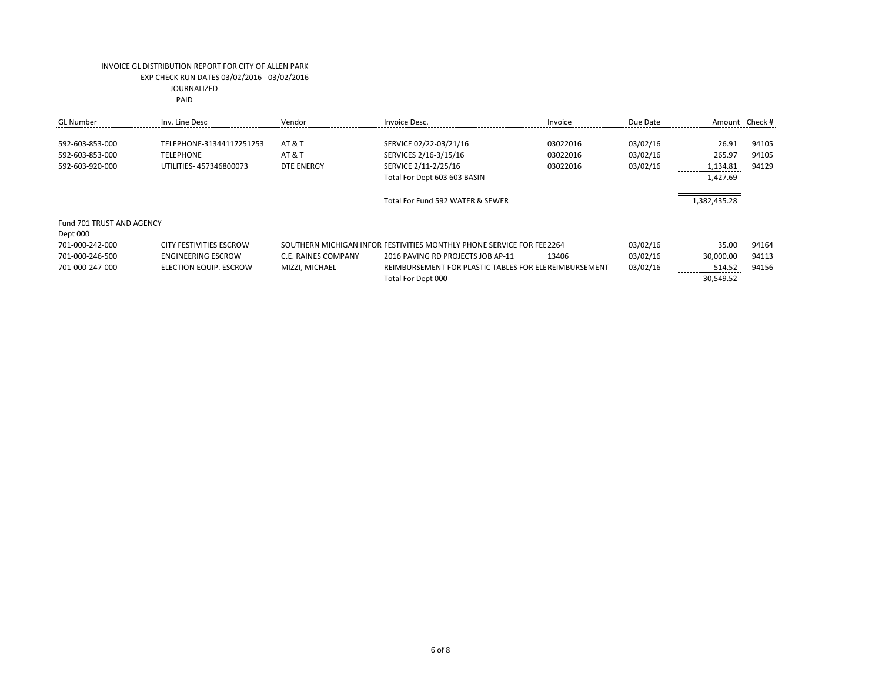| <b>GL</b> Number          | Inv. Line Desc                 | Vendor                     | Invoice Desc.                                                          | Invoice  | Due Date |              | Amount Check # |
|---------------------------|--------------------------------|----------------------------|------------------------------------------------------------------------|----------|----------|--------------|----------------|
| 592-603-853-000           | TELEPHONE-31344117251253       | <b>AT &amp; T</b>          | SERVICE 02/22-03/21/16                                                 | 03022016 | 03/02/16 | 26.91        | 94105          |
| 592-603-853-000           | <b>TELEPHONE</b>               | <b>AT &amp; T</b>          | SERVICES 2/16-3/15/16                                                  | 03022016 | 03/02/16 | 265.97       | 94105          |
| 592-603-920-000           | UTILITIES-457346800073         | DTE ENERGY                 | SERVICE 2/11-2/25/16                                                   | 03022016 | 03/02/16 | 1,134.81     | 94129          |
|                           |                                |                            | Total For Dept 603 603 BASIN                                           |          |          | 1,427.69     |                |
|                           |                                |                            |                                                                        |          |          |              |                |
|                           |                                |                            | Total For Fund 592 WATER & SEWER                                       |          |          | 1,382,435.28 |                |
|                           |                                |                            |                                                                        |          |          |              |                |
| Fund 701 TRUST AND AGENCY |                                |                            |                                                                        |          |          |              |                |
| Dept 000                  |                                |                            |                                                                        |          |          |              |                |
| 701-000-242-000           | <b>CITY FESTIVITIES ESCROW</b> |                            | SOUTHERN MICHIGAN INFOR FESTIVITIES MONTHLY PHONE SERVICE FOR FEE 2264 |          | 03/02/16 | 35.00        | 94164          |
| 701-000-246-500           | <b>ENGINEERING ESCROW</b>      | <b>C.E. RAINES COMPANY</b> | 2016 PAVING RD PROJECTS JOB AP-11                                      | 13406    | 03/02/16 | 30,000.00    | 94113          |
| 701-000-247-000           | ELECTION EQUIP. ESCROW         | MIZZI, MICHAEL             | REIMBURSEMENT FOR PLASTIC TABLES FOR ELE REIMBURSEMENT                 |          | 03/02/16 | 514.52       | 94156          |
|                           |                                |                            | Total For Dept 000                                                     |          |          | 30,549.52    |                |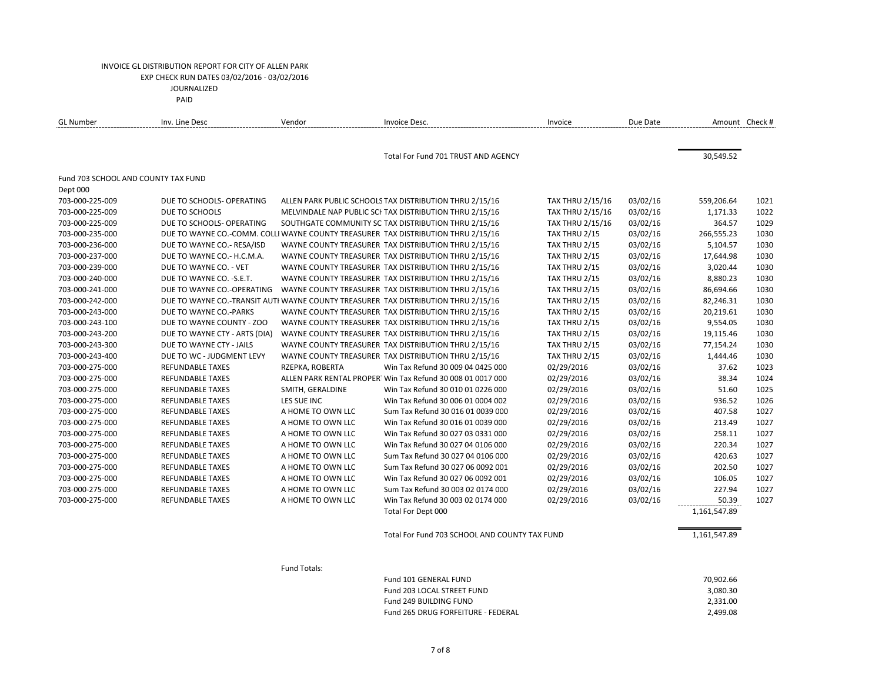| <b>GL Number</b>                    | Inv. Line Desc                | Vendor            | Invoice Desc.                                                                      | Invoice                 | Due Date | Amount Check # |      |
|-------------------------------------|-------------------------------|-------------------|------------------------------------------------------------------------------------|-------------------------|----------|----------------|------|
|                                     |                               |                   |                                                                                    |                         |          |                |      |
|                                     |                               |                   | Total For Fund 701 TRUST AND AGENCY                                                |                         |          | 30,549.52      |      |
| Fund 703 SCHOOL AND COUNTY TAX FUND |                               |                   |                                                                                    |                         |          |                |      |
| Dept 000                            |                               |                   |                                                                                    |                         |          |                |      |
| 703-000-225-009                     | DUE TO SCHOOLS- OPERATING     |                   | ALLEN PARK PUBLIC SCHOOLS TAX DISTRIBUTION THRU 2/15/16                            | TAX THRU 2/15/16        | 03/02/16 | 559,206.64     | 1021 |
| 703-000-225-009                     | DUE TO SCHOOLS                |                   | MELVINDALE NAP PUBLIC SCI TAX DISTRIBUTION THRU 2/15/16                            | TAX THRU 2/15/16        | 03/02/16 | 1,171.33       | 1022 |
| 703-000-225-009                     | DUE TO SCHOOLS- OPERATING     |                   | SOUTHGATE COMMUNITY SC TAX DISTRIBUTION THRU 2/15/16                               | <b>TAX THRU 2/15/16</b> | 03/02/16 | 364.57         | 1029 |
| 703-000-235-000                     |                               |                   | DUE TO WAYNE CO.-COMM. COLLI WAYNE COUNTY TREASURER TAX DISTRIBUTION THRU 2/15/16  | TAX THRU 2/15           | 03/02/16 | 266,555.23     | 1030 |
| 703-000-236-000                     | DUE TO WAYNE CO.- RESA/ISD    |                   | WAYNE COUNTY TREASURER TAX DISTRIBUTION THRU 2/15/16                               | TAX THRU 2/15           | 03/02/16 | 5,104.57       | 1030 |
| 703-000-237-000                     | DUE TO WAYNE CO.- H.C.M.A.    |                   | WAYNE COUNTY TREASURER TAX DISTRIBUTION THRU 2/15/16                               | TAX THRU 2/15           | 03/02/16 | 17,644.98      | 1030 |
| 703-000-239-000                     | DUE TO WAYNE CO. - VET        |                   | WAYNE COUNTY TREASURER TAX DISTRIBUTION THRU 2/15/16                               | TAX THRU 2/15           | 03/02/16 | 3,020.44       | 1030 |
| 703-000-240-000                     | DUE TO WAYNE CO. - S.E.T.     |                   | WAYNE COUNTY TREASURER TAX DISTRIBUTION THRU 2/15/16                               | TAX THRU 2/15           | 03/02/16 | 8,880.23       | 1030 |
| 703-000-241-000                     | DUE TO WAYNE CO.-OPERATING    |                   | WAYNE COUNTY TREASURER TAX DISTRIBUTION THRU 2/15/16                               | TAX THRU 2/15           | 03/02/16 | 86,694.66      | 1030 |
| 703-000-242-000                     |                               |                   | DUE TO WAYNE CO.-TRANSIT AUTI WAYNE COUNTY TREASURER TAX DISTRIBUTION THRU 2/15/16 | TAX THRU 2/15           | 03/02/16 | 82,246.31      | 1030 |
| 703-000-243-000                     | DUE TO WAYNE CO.-PARKS        |                   | WAYNE COUNTY TREASURER TAX DISTRIBUTION THRU 2/15/16                               | TAX THRU 2/15           | 03/02/16 | 20,219.61      | 1030 |
| 703-000-243-100                     | DUE TO WAYNE COUNTY - ZOO     |                   | WAYNE COUNTY TREASURER TAX DISTRIBUTION THRU 2/15/16                               | TAX THRU 2/15           | 03/02/16 | 9,554.05       | 1030 |
| 703-000-243-200                     | DUE TO WAYNE CTY - ARTS (DIA) |                   | WAYNE COUNTY TREASURER TAX DISTRIBUTION THRU 2/15/16                               | TAX THRU 2/15           | 03/02/16 | 19,115.46      | 1030 |
| 703-000-243-300                     | DUE TO WAYNE CTY - JAILS      |                   | WAYNE COUNTY TREASURER TAX DISTRIBUTION THRU 2/15/16                               | TAX THRU 2/15           | 03/02/16 | 77,154.24      | 1030 |
| 703-000-243-400                     | DUE TO WC - JUDGMENT LEVY     |                   | WAYNE COUNTY TREASURER TAX DISTRIBUTION THRU 2/15/16                               | TAX THRU 2/15           | 03/02/16 | 1,444.46       | 1030 |
| 703-000-275-000                     | REFUNDABLE TAXES              | RZEPKA, ROBERTA   | Win Tax Refund 30 009 04 0425 000                                                  | 02/29/2016              | 03/02/16 | 37.62          | 1023 |
| 703-000-275-000                     | <b>REFUNDABLE TAXES</b>       |                   | ALLEN PARK RENTAL PROPERT Win Tax Refund 30 008 01 0017 000                        | 02/29/2016              | 03/02/16 | 38.34          | 1024 |
| 703-000-275-000                     | <b>REFUNDABLE TAXES</b>       | SMITH, GERALDINE  | Win Tax Refund 30 010 01 0226 000                                                  | 02/29/2016              | 03/02/16 | 51.60          | 1025 |
| 703-000-275-000                     | <b>REFUNDABLE TAXES</b>       | LES SUE INC       | Win Tax Refund 30 006 01 0004 002                                                  | 02/29/2016              | 03/02/16 | 936.52         | 1026 |
| 703-000-275-000                     | <b>REFUNDABLE TAXES</b>       | A HOME TO OWN LLC | Sum Tax Refund 30 016 01 0039 000                                                  | 02/29/2016              | 03/02/16 | 407.58         | 1027 |
| 703-000-275-000                     | <b>REFUNDABLE TAXES</b>       | A HOME TO OWN LLC | Win Tax Refund 30 016 01 0039 000                                                  | 02/29/2016              | 03/02/16 | 213.49         | 1027 |
| 703-000-275-000                     | <b>REFUNDABLE TAXES</b>       | A HOME TO OWN LLC | Win Tax Refund 30 027 03 0331 000                                                  | 02/29/2016              | 03/02/16 | 258.11         | 1027 |
| 703-000-275-000                     | <b>REFUNDABLE TAXES</b>       | A HOME TO OWN LLC | Win Tax Refund 30 027 04 0106 000                                                  | 02/29/2016              | 03/02/16 | 220.34         | 1027 |
| 703-000-275-000                     | REFUNDABLE TAXES              | A HOME TO OWN LLC | Sum Tax Refund 30 027 04 0106 000                                                  | 02/29/2016              | 03/02/16 | 420.63         | 1027 |
| 703-000-275-000                     | <b>REFUNDABLE TAXES</b>       | A HOME TO OWN LLC | Sum Tax Refund 30 027 06 0092 001                                                  | 02/29/2016              | 03/02/16 | 202.50         | 1027 |
| 703-000-275-000                     | <b>REFUNDABLE TAXES</b>       | A HOME TO OWN LLC | Win Tax Refund 30 027 06 0092 001                                                  | 02/29/2016              | 03/02/16 | 106.05         | 1027 |
| 703-000-275-000                     | <b>REFUNDABLE TAXES</b>       | A HOME TO OWN LLC | Sum Tax Refund 30 003 02 0174 000                                                  | 02/29/2016              | 03/02/16 | 227.94         | 1027 |
| 703-000-275-000                     | <b>REFUNDABLE TAXES</b>       | A HOME TO OWN LLC | Win Tax Refund 30 003 02 0174 000                                                  | 02/29/2016              | 03/02/16 | 50.39          | 1027 |
|                                     |                               |                   | Total For Dept 000                                                                 |                         |          | 1,161,547.89   |      |
|                                     |                               |                   | Total For Fund 703 SCHOOL AND COUNTY TAX FUND                                      |                         |          | 1,161,547.89   |      |
|                                     |                               |                   |                                                                                    |                         |          |                |      |
|                                     |                               | Fund Totals:      |                                                                                    |                         |          |                |      |
|                                     |                               |                   | Fund 101 GENERAL FUND                                                              |                         |          | 70,902.66      |      |
|                                     |                               |                   | Fund 203 LOCAL STREET FUND                                                         |                         |          | 3,080.30       |      |
|                                     |                               |                   | Fund 249 BUILDING FUND                                                             |                         |          | 2,331.00       |      |
|                                     |                               |                   | Fund 265 DRUG FORFEITURE - FEDERAL                                                 |                         |          | 2,499.08       |      |